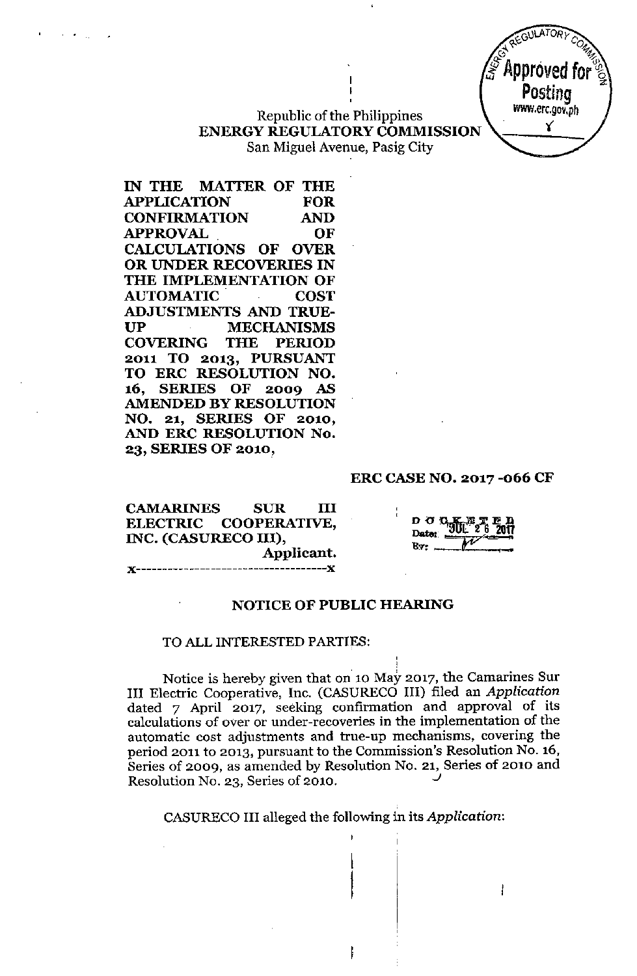Republic of the Philippines ENERGY REGULATORY COMMISSION San Miguel Avenue, Pasig City

IN THE MATTER OF THE APPUCATION FOR CONFIRMATION AND APPROVAL OF CALCULATIONS OF OVER OR UNDER RECOVERIES IN THE IMPLEMENTATION OF AUTOMATIC COST ADJUSTMENTS AND TRUE-UP MECHANISMS COVERING THE PERIOD 2011 TO 2013, PURSUANT TO ERC RESOLUTION NO. 16, SERIES OF 2009 AS AMENDED BY RESOLUTION NO. 21, SERIES OF 2010, AND ERC RESOLUTION No. 23, SERIES OF 2010,

 $\mathbf{v} = \mathbf{v} \times \mathbf{v}$ 

#### ERC CASE NO. 2017 -066 CF

GULATOR)

Approved for

Postina **WWW.erc.gov.ph** Y

CAMARINES SUR III ELECTRIC COOPERATIVE, INC. (CASURECO III), Applicant. *){------------------------------------J(*

 $D$   $\sigma$   $\sigma$   $K$ Date: Bv-

#### NOTICE OF PUBLIC HEARING

#### TO ALL INTERESTED PARTIES:

Notice is hereby given that on 10 May 2017, the Camarines Sur III Electric Cooperative, Inc. (CASURECO III) filed an *Application* dated 7 April 2017, seeking confirmation and approval of its calculations of over or under-recoveries in the implementation of the automatic cost adjustments and true-up mechanisms, covering the period 2011 to 2013, pursuant to the Commission's Resolution No. 16, Series of 2009, as amended by Resolution No. 21, Series of 2010 and Resolution No. 23, Series of 2010. *J*

CASURECOIII alleged the following in its *Application:*

ł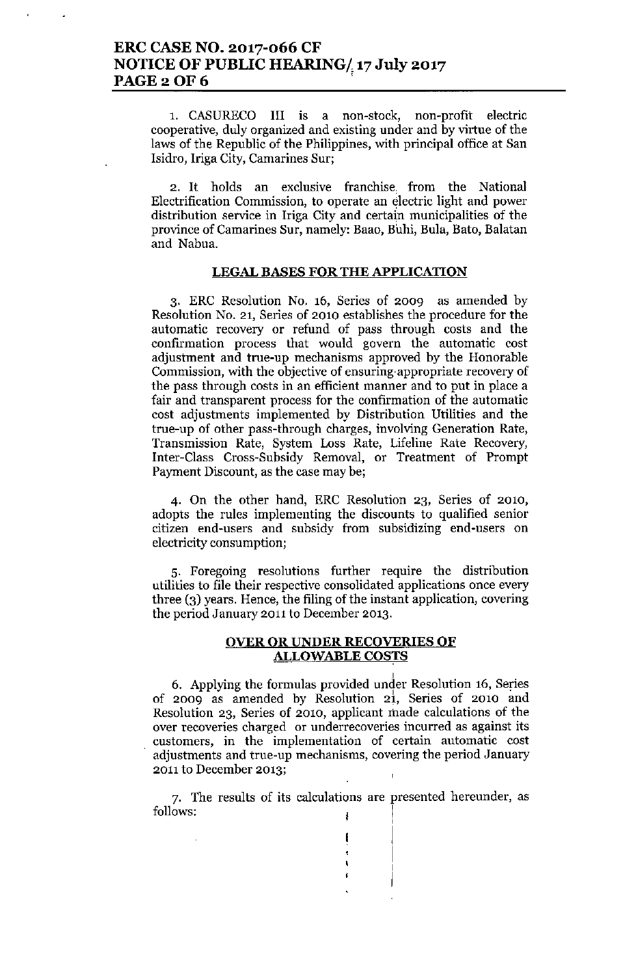1, CASURECO III is a non-stock, non-profit electric cooperative, duly organized and existing under and by virtue of the laws of the Republic of the Philippines, with principal office at San Isidro, lriga City, Camarines Sur;

2. It holds an exclusive franchise. from the National Electrification Commission, to operate an electric light and power distribution service in Iriga City and certain municipalities of the province of Camarines Sur, namely: Baao, Buhi, Bula, Bato, Balatan and Nabua.

### LEGAL BASES FOR THE APPLICATION

3. ERC Resolution No. 16, Series of 2009 as amended by Resolution No. 21, Series of 2010 establishes the procedure for the automatic recovery or refund of pass through costs and the confirmation process that would govern the automatic cost adjustment and true-up mechanisms approved by the Honorable Commission, with the objective of ensuring'appropriate recovery of the pass through costs in an efficient manner and to put in place a fair and transparent process for the confirmation of the automatic cost adjustments implemented by Distribution Utilities and the true-up of other pass-through charges, involving Generation Rate, Transmission Rate, System Loss Rate, Lifeline Rate Recovery, Inter-Class Cross-Subsidy Removal, or Treatment of Prompt Payment Discount, as the case may be;

4. On the other hand, ERe Resolution 23, Series of 2010, adopts the rules implementing the discounts to qualified senior citizen end-users and subsidy from subsidizing end-users on electricity consumption;

5. Foregoing resolutions further require the distribution utilities to file their respective consolidated applications once every three (3) years. Hence, the filing of the instant application, covering the period January 2011 to December 2013.

### OVER OR UNDER RECOVERIES OF ALLOWABLE COSTS

,

I I I I

6, Applying the fomnlas provided under Resolntion 16, Series of 2009 as amended by Resolution 21, Series of 2010 and Resolution 23, Series of 2010, applicant made calculations of the over recoveries charged or underrecoveries incurred as against its customers, in the implementation of certain automatic cost adjustments and true-up mechanisms, covering the period January 2011 to December 2013;

7. The results of its calculations are presented hereunder, as follows: ,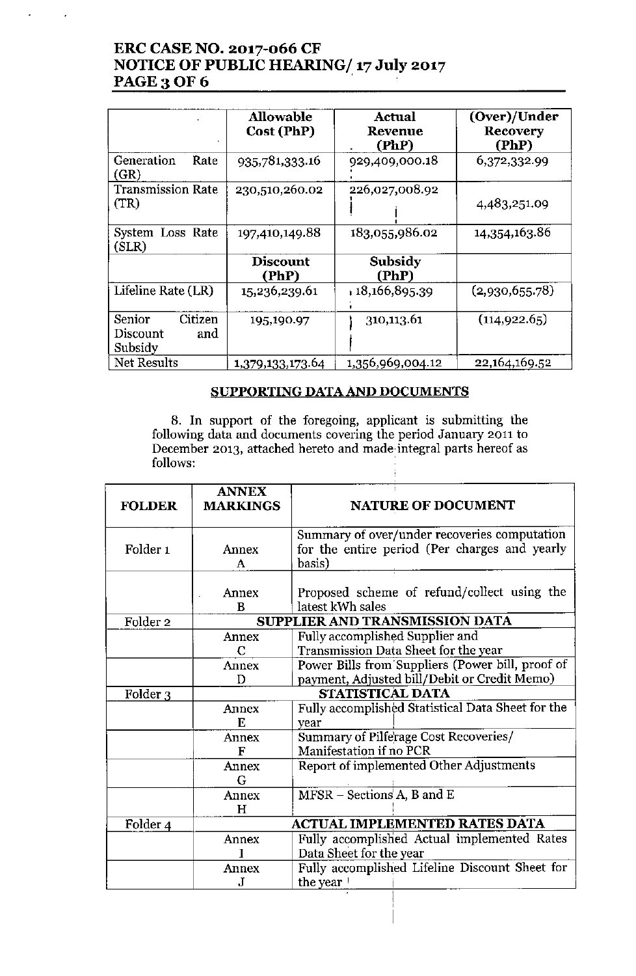# **ERC CASE NO. 2017-066 CF NOTICE OF PUBLIC HEARING/ 17 July 2017** PAGE 3 OF 6

J,

|                                                 | <b>Allowable</b><br>Cost (PhP) | Actual<br><b>Revenue</b><br>(PhP) | (Over)/Under<br>Recovery<br>(PhP) |
|-------------------------------------------------|--------------------------------|-----------------------------------|-----------------------------------|
| Generation<br>Rate<br>(GR)                      | 935,781,333.16                 | 929,409,000.18                    | 6,372,332.99                      |
| <b>Transmission Rate</b><br>(TR)                | 230,510,260.02                 | 226,027,008.92                    | 4,483,251.09                      |
| System Loss Rate<br>(SLR)                       | 197,410,149.88                 | 183,055,986.02                    | 14,354,163.86                     |
|                                                 | <b>Discount</b><br>(PhP)       | Subsidy<br>(PhP)                  |                                   |
| Lifeline Rate (LR)                              | 15,236,239.61                  | 18,166,895.39                     | (2,930,655.78)                    |
| Citizen<br>Senior<br>Discount<br>and<br>Subsidy | 195,190.97                     | 310,113.61                        | (114, 922.65)                     |
| Net Results                                     | 1,379,133,173.64               | 1,356,969,004.12                  | 22, 164, 169.52                   |

### **SUPPORTING** DATA AND **DOCUMENTS**

8. **In** support of the foregoing, applicant is submitting the **following data and documents covering the period January 2011 to December 2013, attached hereto and** made. integral **parts hereof as** follows:

| <b>FOLDER</b>       | <b>ANNEX</b><br><b>MARKINGS</b> | <b>NATURE OF DOCUMENT</b>                                                                               |  |  |
|---------------------|---------------------------------|---------------------------------------------------------------------------------------------------------|--|--|
| Folder <sub>1</sub> | Annex<br>A                      | Summary of over/under recoveries computation<br>for the entire period (Per charges and yearly<br>basis) |  |  |
|                     | Annex<br>B                      | Proposed scheme of refund/collect using the<br>latest kWh sales                                         |  |  |
| Folder <sub>2</sub> |                                 | SUPPLIER AND TRANSMISSION DATA                                                                          |  |  |
|                     | Annex<br>C                      | Fully accomplished Supplier and<br>Transmission Data Sheet for the year                                 |  |  |
|                     | Annex<br>D                      | Power Bills from Suppliers (Power bill, proof of<br>payment, Adjusted bill/Debit or Credit Memo)        |  |  |
| Folder 3            | STATISTICAL DATA                |                                                                                                         |  |  |
|                     | Annex<br>E                      | Fully accomplished Statistical Data Sheet for the<br>year                                               |  |  |
|                     | Annex<br>F                      | Summary of Pilferage Cost Recoveries/<br>Manifestation if no PCR                                        |  |  |
|                     | Annex<br>G                      | Report of implemented Other Adjustments                                                                 |  |  |
|                     | Annex<br>H                      | $MFSR - Sections A, B$ and E                                                                            |  |  |
| Folder 4            |                                 | <b>ACTUAL IMPLEMENTED RATES DATA</b>                                                                    |  |  |
|                     | Annex                           | Fully accomplished Actual implemented Rates                                                             |  |  |
|                     |                                 | Data Sheet for the year                                                                                 |  |  |
|                     | Annex                           | Fully accomplished Lifeline Discount Sheet for                                                          |  |  |
|                     | .T                              | the year '                                                                                              |  |  |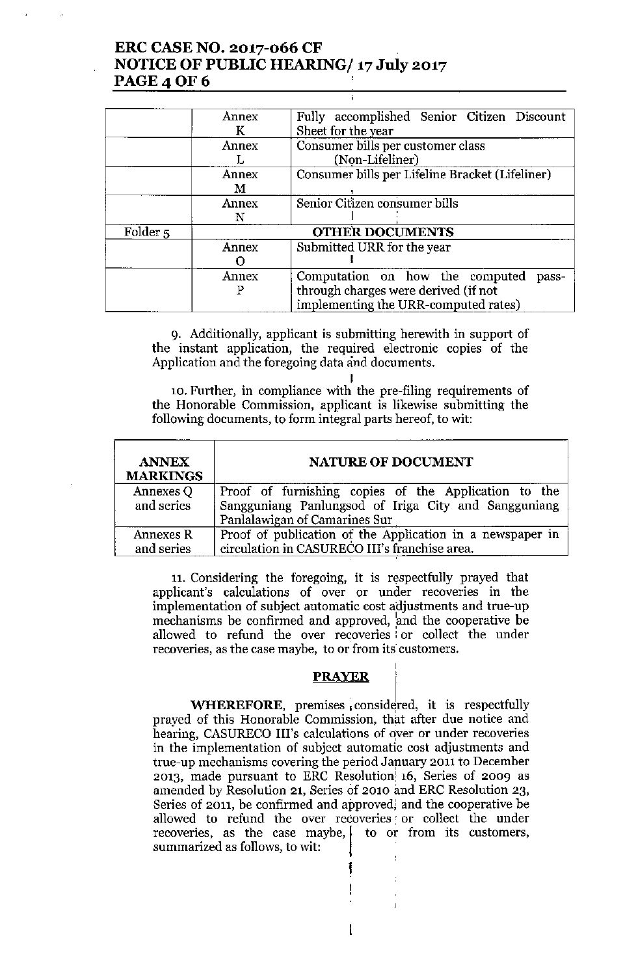# ERC CASE NO. 2017-066 CF NOTICE OF PUBLIC HEARING/ 17 July 2017 **PAGE 4 OF 6**

|                     | Annex | Fully accomplished Senior Citizen Discount                                   |  |
|---------------------|-------|------------------------------------------------------------------------------|--|
|                     | К     | Sheet for the year                                                           |  |
|                     | Annex | Consumer bills per customer class                                            |  |
|                     |       | (Non-Lifeliner)<br>Consumer bills per Lifeline Bracket (Lifeliner)           |  |
|                     | Annex |                                                                              |  |
|                     | М     |                                                                              |  |
|                     | Annex | Senior Citizen consumer bills                                                |  |
|                     | N     |                                                                              |  |
| Folder <sub>5</sub> |       | <b>OTHER DOCUMENTS</b>                                                       |  |
|                     | Annex | Submitted URR for the year                                                   |  |
|                     |       |                                                                              |  |
|                     | Annex | Computation on how the computed<br>pass-                                     |  |
|                     | P     | through charges were derived (if not<br>implementing the URR-computed rates) |  |

9. Additionally, applicant is submitting herewith in support of the instant application, the required electronic copies of the Application and the foregoing data and documents.

I 10. Further, in compliance with the pre-filing requirements of the Honorable Commission, applicant is likewise submitting the following documents, to form integral parts hereof, to wit:

| <b>ANNEX</b><br><b>MARKINGS</b> | <b>NATURE OF DOCUMENT</b>                                 |
|---------------------------------|-----------------------------------------------------------|
| Annexes Q                       | Proof of furnishing copies of the Application to the      |
| and series                      | Sangguniang Panlungsod of Iriga City and Sangguniang      |
|                                 | Panlalawigan of Camarines Sur                             |
| Annexes R                       | Proof of publication of the Application in a newspaper in |
| and series                      | circulation in CASURECO III's franchise area.             |

11. Considering the foregoing, it is respectfully prayed that applicant's calculations of over or under recoveries in the implementation of subject automatic cost adjustments and true-up mechanisms be confirmed and approved, 'and the cooperative be allowed to refund the over recoveries i or collect the under recoveries, as the case maybe, to or from its customers.

### **PRAYER**

I

**WHEREFORE,** premises considered, it is respectfully prayed of this Honorable Commission, that after due notice and hearing, CASURECO III's calculations of over or under recoveries in the implementation of subject automatic cost adjustments and true-up mechanisms covering the period January 2011 to December 2013, made pursuant to ERC Resolution 16, Series of 2009 as amended by Resolution 21, Series 6f 2010 and ERC Resolution 23, Series of 2011, be confirmed and approved) and the cooperative be allowed to refund the over recoveries or collect the under<br>recoveries, as the case maybe,  $\vert$  to or from its customers summarized as follows, to wit: i<br>!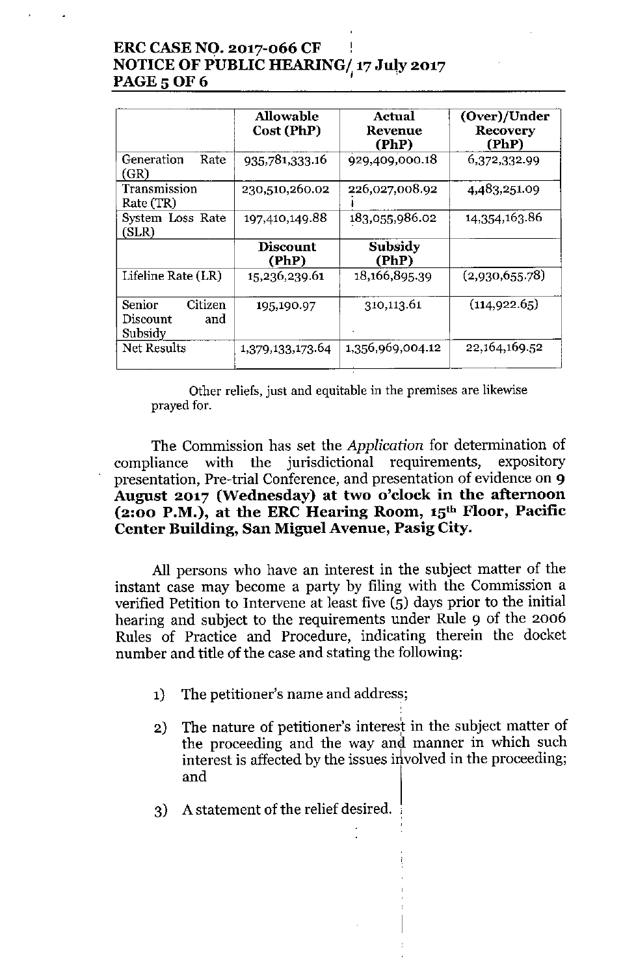# **ERCCASENO. 2017-066 CF NOTICEOF PUBLIC HEARING/ 17 July 2017 PAGE 5 OF 6**

|                                                 | Allowable<br>Cost (PhP)  | Actual<br>Revenue<br>(PhP) | (Over)/Under<br><b>Recovery</b><br>(PhP) |
|-------------------------------------------------|--------------------------|----------------------------|------------------------------------------|
| Generation<br>Rate<br>(GR)                      | 935,781,333.16           | 929,409,000.18             | 6,372,332.99                             |
| Transmission<br>Rate (TR)                       | 230,510,260.02           | 226,027,008.92             | 4,483,251.09                             |
| System Loss Rate<br>(SLR)                       | 197,410,149.88           | 183,055,986.02             | 14,354,163.86                            |
|                                                 | <b>Discount</b><br>(PhP) | Subsidy<br>(PhP)           |                                          |
| Lifeline Rate (LR)                              | 15,236,239.61            | 18,166,895.39              | (2,930,655.78)                           |
| Senior<br>Citizen<br>Discount<br>and<br>Subsidy | 195,190.97               | 310,113.61                 | (114, 922.65)                            |
| Net Results                                     | 1,379,133,173.64         | 1,356,969,004.12           | 22,164,169.52                            |

**Other reliefs, just and equitable in the premises are likewise** prayed for.

The Commission has set the *Application* for determination of compliance with the jurisdictional requirements, expository presentation, Pre-trial Conference, and presentation of evidence on 9 **August 2017 (Wednesday) at two o'clock in the afternoon (2:00 P.M.), at the ERC Hearing Room, 15th Floor, Pacific Center Building, San Miguel Avenue, Pasig City.**

**All** persons who have an interest in the subject matter of the instant case may become a party by filing with the Commission a verified Petition to Intervene at least five (5) days prior to the initial hearing and subject to the requirements under Rule 9 of the **2006** Rules of Practice and Procedure, indicating therein the docket number and title of the case and stating the following:

- 1) The petitioner's name and address;
- 2) The nature of petitioner's interest in the subject matter of the proceeding and the way and manner in which such interest is affected by the issues involved in the proceeding; and
- 3) A statement of the relief desired.